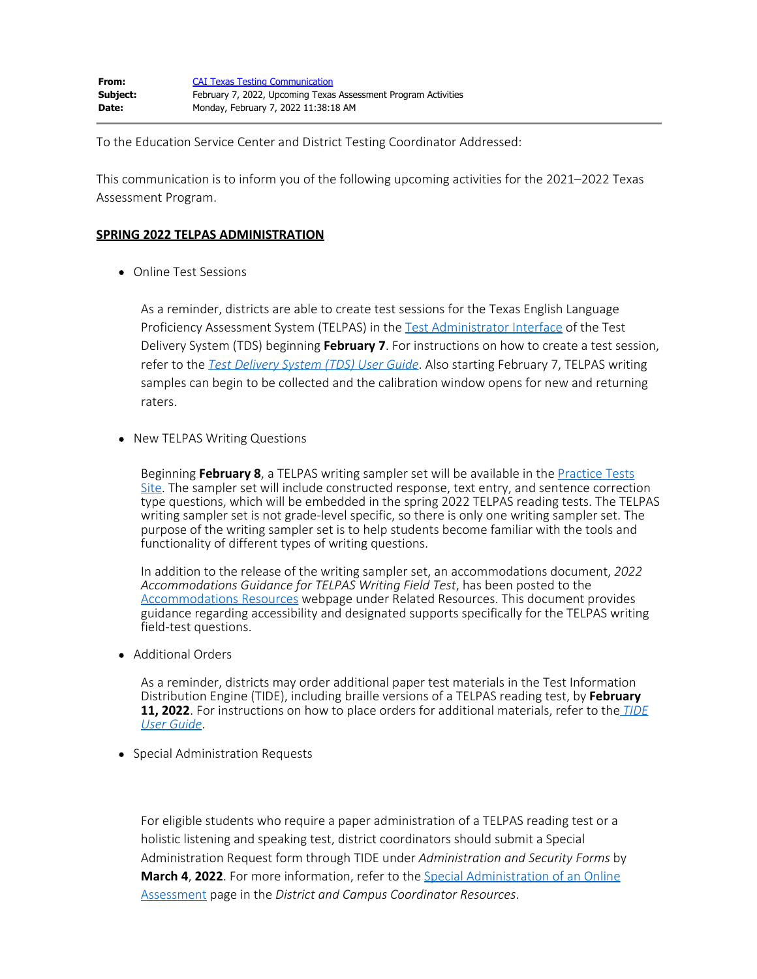To the Education Service Center and District Testing Coordinator Addressed:

This communication is to inform you of the following upcoming activities for the 2021–2022 Texas Assessment Program.

## **SPRING 2022 TELPAS ADMINISTRATION**

Online Test Sessions

As a reminder, districts are able to create test sessions for the Texas English Language Proficiency Assessment System (TELPAS) in the [Test Administrator Interface](https://www.texasassessment.gov/testing-personnel.html) of the Test Delivery System (TDS) beginning **February 7**. For instructions on how to create a test session, refer to the *[Test Delivery System \(TDS\) User Guide](https://www.texasassessment.gov/resources/system-user-guides/test-delivery-system-user-guide)*. Also starting February 7, TELPAS writing samples can begin to be collected and the calibration window opens for new and returning raters.

• New TELPAS Writing Questions

Beginning **February 8**, a TELPAS writing sampler set will be available in the [Practice Tests](https://txpt.cambiumtds.com/student) [Site.](https://txpt.cambiumtds.com/student) The sampler set will include constructed response, text entry, and sentence correction type questions, which will be embedded in the spring 2022 TELPAS reading tests. The TELPAS writing sampler set is not grade-level specific, so there is only one writing sampler set. The purpose of the writing sampler set is to help students become familiar with the tools and functionality of different types of writing questions.

In addition to the release of the writing sampler set, an accommodations document, *2022 Accommodations Guidance for TELPAS Writing Field Test*, has been posted to the [Accommodations Resources](https://tea.texas.gov/student-assessment/testing/student-assessment-overview/accommodation-resources) webpage under Related Resources. This document provides guidance regarding accessibility and designated supports specifically for the TELPAS writing field-test questions.

Additional Orders

As a reminder, districts may order additional paper test materials in the Test Information Distribution Engine (TIDE), including braille versions of a TELPAS reading test, by **February 11, 2022**. For instructions on how to place orders for additional materials, refer to the *[TIDE](https://www.texasassessment.gov/resources/system-user-guides/tide-user-guide) [User Guide](https://www.texasassessment.gov/resources/system-user-guides/tide-user-guide)*.

• Special Administration Requests

For eligible students who require a paper administration of a TELPAS reading test or a holistic listening and speaking test, district coordinators should submit a Special Administration Request form through TIDE under *Administration and Security Forms* by **March 4**, **2022**. For more information, refer to the [Special Administration of an Online](https://txassessmentdocs.atlassian.net/wiki/spaces/ODCCM/pages/2547985319/Special+Administration+of+an+Online+Assessment) [Assessment](https://txassessmentdocs.atlassian.net/wiki/spaces/ODCCM/pages/2547985319/Special+Administration+of+an+Online+Assessment) page in the *District and Campus Coordinator Resources*.